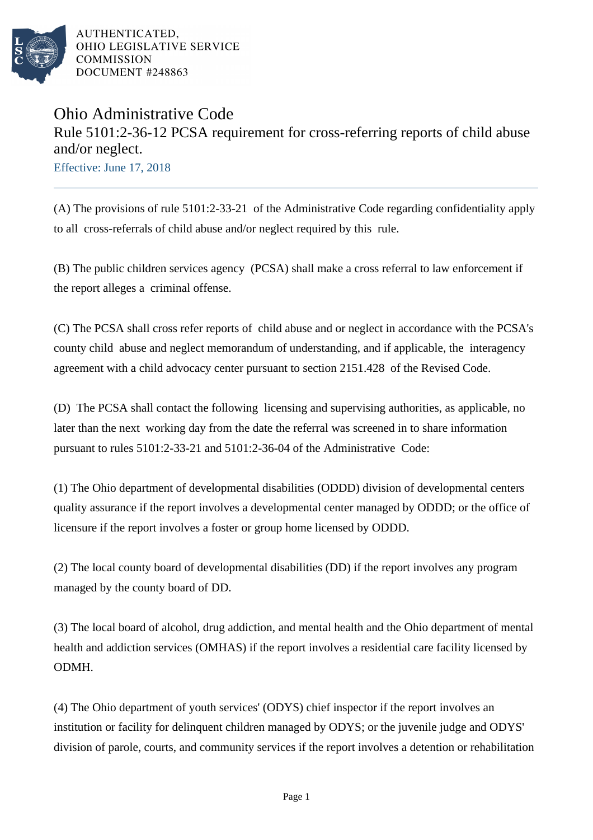

AUTHENTICATED, OHIO LEGISLATIVE SERVICE **COMMISSION** DOCUMENT #248863

## Ohio Administrative Code Rule 5101:2-36-12 PCSA requirement for cross-referring reports of child abuse and/or neglect.

Effective: June 17, 2018

(A) The provisions of rule 5101:2-33-21 of the Administrative Code regarding confidentiality apply to all cross-referrals of child abuse and/or neglect required by this rule.

(B) The public children services agency (PCSA) shall make a cross referral to law enforcement if the report alleges a criminal offense.

(C) The PCSA shall cross refer reports of child abuse and or neglect in accordance with the PCSA's county child abuse and neglect memorandum of understanding, and if applicable, the interagency agreement with a child advocacy center pursuant to section 2151.428 of the Revised Code.

(D) The PCSA shall contact the following licensing and supervising authorities, as applicable, no later than the next working day from the date the referral was screened in to share information pursuant to rules 5101:2-33-21 and 5101:2-36-04 of the Administrative Code:

(1) The Ohio department of developmental disabilities (ODDD) division of developmental centers quality assurance if the report involves a developmental center managed by ODDD; or the office of licensure if the report involves a foster or group home licensed by ODDD.

(2) The local county board of developmental disabilities (DD) if the report involves any program managed by the county board of DD.

(3) The local board of alcohol, drug addiction, and mental health and the Ohio department of mental health and addiction services (OMHAS) if the report involves a residential care facility licensed by ODMH.

(4) The Ohio department of youth services' (ODYS) chief inspector if the report involves an institution or facility for delinquent children managed by ODYS; or the *juvenile judge and ODYS'* division of parole, courts, and community services if the report involves a detention or rehabilitation